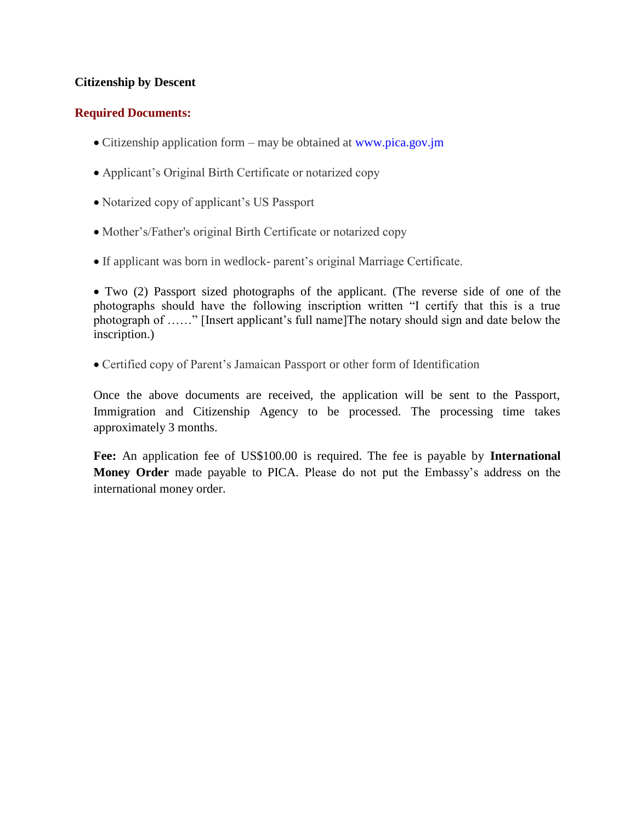# **Citizenship by Descent**

## **Required Documents:**

- Citizenship application form may be obtained at [www.pica.gov.jm](http://www.pica.gov.jm/)
- Applicant's Original Birth Certificate or notarized copy
- Notarized copy of applicant's US Passport
- Mother's/Father's original Birth Certificate or notarized copy
- If applicant was born in wedlock- parent's original Marriage Certificate.

 Two (2) Passport sized photographs of the applicant. (The reverse side of one of the photographs should have the following inscription written "I certify that this is a true photograph of ……" [Insert applicant's full name]The notary should sign and date below the inscription.)

Certified copy of Parent's Jamaican Passport or other form of Identification

Once the above documents are received, the application will be sent to the Passport, Immigration and Citizenship Agency to be processed. The processing time takes approximately 3 months.

**Fee:** An application fee of US\$100.00 is required. The fee is payable by **International Money Order** made payable to PICA. Please do not put the Embassy's address on the international money order.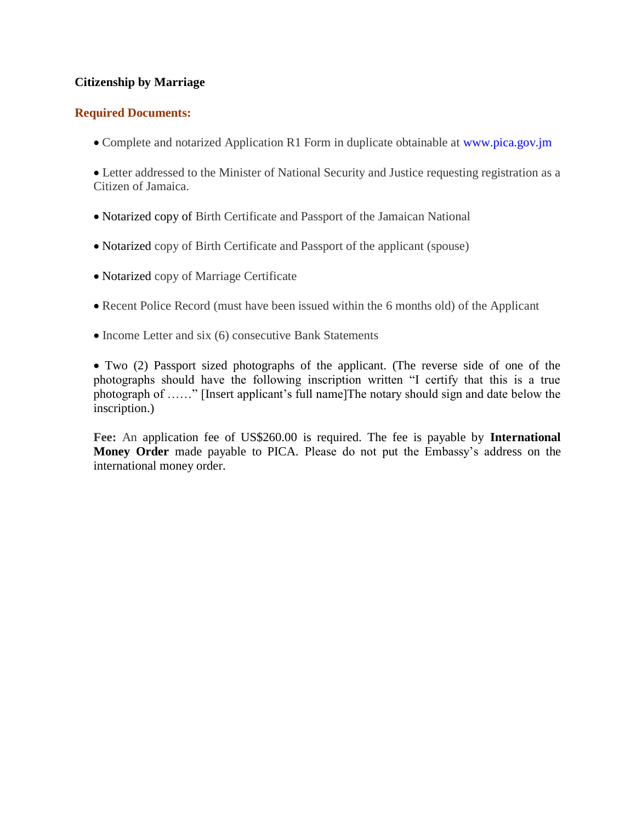# **Citizenship by Marriage**

#### **Required Documents:**

• Complete and notarized Application R1 Form in duplicate obtainable at [www.pica.gov.jm](http://www.pica.gov.jm/)

 Letter addressed to the Minister of National Security and Justice requesting registration as a Citizen of Jamaica.

- Notarized copy of Birth Certificate and Passport of the Jamaican National
- Notarized copy of Birth Certificate and Passport of the applicant (spouse)
- Notarized copy of Marriage Certificate
- Recent Police Record (must have been issued within the 6 months old) of the Applicant
- $\bullet$  Income Letter and six (6) consecutive Bank Statements

 Two (2) Passport sized photographs of the applicant. (The reverse side of one of the photographs should have the following inscription written "I certify that this is a true photograph of ……" [Insert applicant's full name]The notary should sign and date below the inscription.)

**Fee:** An application fee of US\$260.00 is required. The fee is payable by **International Money Order** made payable to PICA. Please do not put the Embassy's address on the international money order.